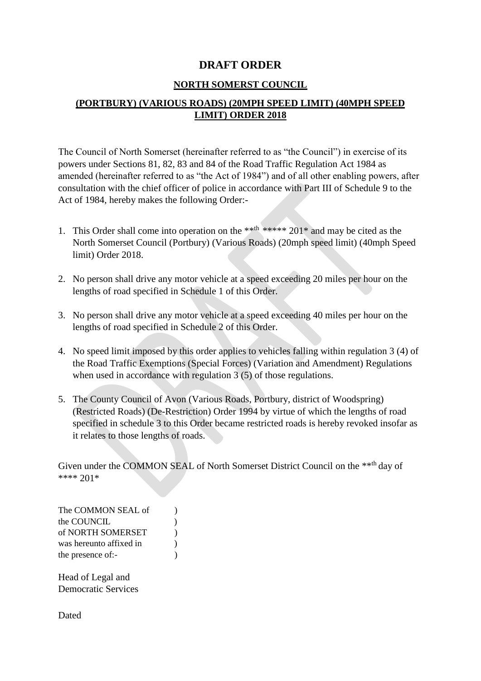#### **DRAFT ORDER**

#### **NORTH SOMERST COUNCIL**

#### **(PORTBURY) (VARIOUS ROADS) (20MPH SPEED LIMIT) (40MPH SPEED LIMIT) ORDER 2018**

The Council of North Somerset (hereinafter referred to as "the Council") in exercise of its powers under Sections 81, 82, 83 and 84 of the Road Traffic Regulation Act 1984 as amended (hereinafter referred to as "the Act of 1984") and of all other enabling powers, after consultation with the chief officer of police in accordance with Part III of Schedule 9 to the Act of 1984, hereby makes the following Order:-

- 1. This Order shall come into operation on the \*\*<sup>th</sup> \*\*\*\*\* 201<sup>\*</sup> and may be cited as the North Somerset Council (Portbury) (Various Roads) (20mph speed limit) (40mph Speed limit) Order 2018.
- 2. No person shall drive any motor vehicle at a speed exceeding 20 miles per hour on the lengths of road specified in Schedule 1 of this Order.
- 3. No person shall drive any motor vehicle at a speed exceeding 40 miles per hour on the lengths of road specified in Schedule 2 of this Order.
- 4. No speed limit imposed by this order applies to vehicles falling within regulation 3 (4) of the Road Traffic Exemptions (Special Forces) (Variation and Amendment) Regulations when used in accordance with regulation 3 (5) of those regulations.
- 5. The County Council of Avon (Various Roads, Portbury, district of Woodspring) (Restricted Roads) (De-Restriction) Order 1994 by virtue of which the lengths of road specified in schedule 3 to this Order became restricted roads is hereby revoked insofar as it relates to those lengths of roads.

Given under the COMMON SEAL of North Somerset District Council on the \*\*th day of \*\*\*\* 201\*

The COMMON SEAL of  $\qquad$  ) the COUNCIL (1) of NORTH SOMERSET ) was hereunto affixed in  $\qquad$ ) the presence of:-

Head of Legal and Democratic Services

Dated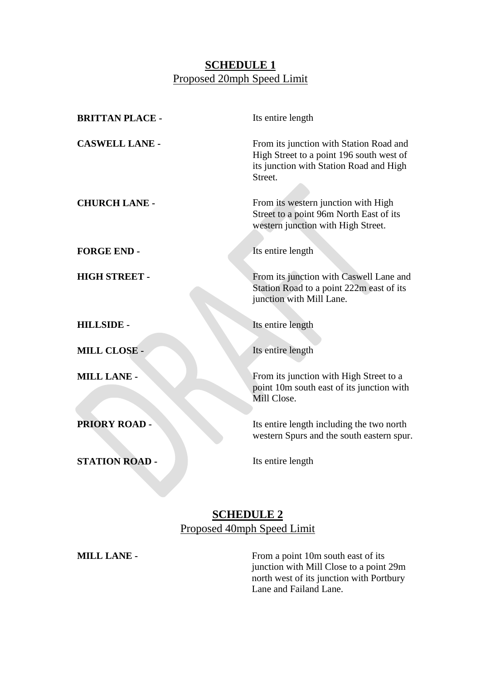### **SCHEDULE 1** Proposed 20mph Speed Limit

| <b>BRITTAN PLACE -</b> | Its entire length                                                                                                                         |
|------------------------|-------------------------------------------------------------------------------------------------------------------------------------------|
| <b>CASWELL LANE -</b>  | From its junction with Station Road and<br>High Street to a point 196 south west of<br>its junction with Station Road and High<br>Street. |
| <b>CHURCH LANE -</b>   | From its western junction with High<br>Street to a point 96m North East of its<br>western junction with High Street.                      |
| <b>FORGE END-</b>      | Its entire length                                                                                                                         |
| <b>HIGH STREET -</b>   | From its junction with Caswell Lane and<br>Station Road to a point 222m east of its<br>junction with Mill Lane.                           |
| <b>HILLSIDE -</b>      | Its entire length                                                                                                                         |
| <b>MILL CLOSE -</b>    | Its entire length                                                                                                                         |
| <b>MILL LANE -</b>     | From its junction with High Street to a<br>point 10m south east of its junction with<br>Mill Close.                                       |
| <b>PRIORY ROAD-</b>    | Its entire length including the two north<br>western Spurs and the south eastern spur.                                                    |
| <b>STATION ROAD -</b>  | Its entire length                                                                                                                         |

# **SCHEDULE 2**  Proposed 40mph Speed Limit

**MILL LANE -** From a point 10m south east of its junction with Mill Close to a point 29m north west of its junction with Portbury Lane and Failand Lane.